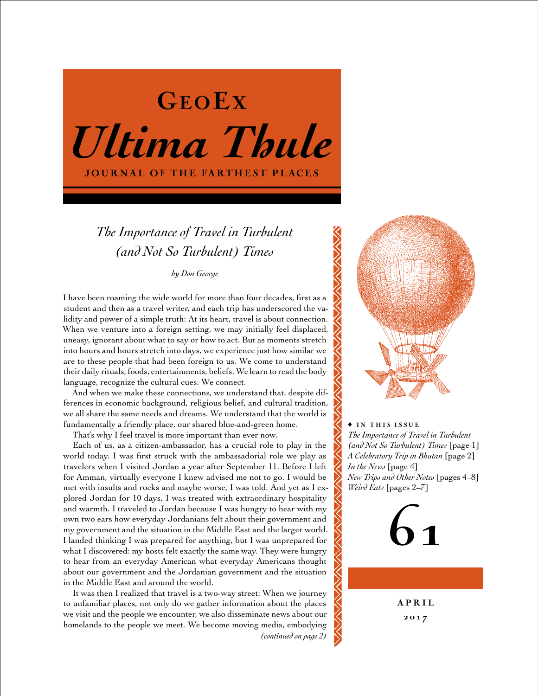

# *The Importance of Travel in Turbulent (and Not So Turbulent) Times*

*by Don George*

I have been roaming the wide world for more than four decades, first as a student and then as a travel writer, and each trip has underscored the validity and power of a simple truth: At its heart, travel is about connection. When we venture into a foreign setting, we may initially feel displaced, uneasy, ignorant about what to say or how to act. But as moments stretch into hours and hours stretch into days, we experience just how similar we are to these people that had been foreign to us. We come to understand their daily rituals, foods, entertainments, beliefs. We learn to read the body language, recognize the cultural cues. We connect.

And when we make these connections, we understand that, despite differences in economic background, religious belief, and cultural tradition, we all share the same needs and dreams. We understand that the world is fundamentally a friendly place, our shared blue-and-green home.

That's why I feel travel is more important than ever now.

Each of us, as a citizen-ambassador, has a crucial role to play in the world today. I was first struck with the ambassadorial role we play as travelers when I visited Jordan a year after September 11. Before I left for Amman, virtually everyone I knew advised me not to go. I would be met with insults and rocks and maybe worse, I was told. And yet as I explored Jordan for 10 days, I was treated with extraordinary hospitality and warmth. I traveled to Jordan because I was hungry to hear with my own two ears how everyday Jordanians felt about their government and my government and the situation in the Middle East and the larger world. I landed thinking I was prepared for anything, but I was unprepared for what I discovered: my hosts felt exactly the same way. They were hungry to hear from an everyday American what everyday Americans thought about our government and the Jordanian government and the situation in the Middle East and around the world.

It was then I realized that travel is a two-way street: When we journey to unfamiliar places, not only do we gather information about the places we visit and the people we encounter, we also disseminate news about our homelands to the people we meet. We become moving media, embodying

*(continued on page 2)*



♦ in this issue *The Importance of Travel in Turbulent (and Not So Turbulent) Times* [page 1] *A Celebratory Trip in Bhutan* [page 2] *In the News* [page 4] *New Trips and Other Notes* [pages 4–8] *Weird Eats* [pages 2–7]



A P R I L 20 1 7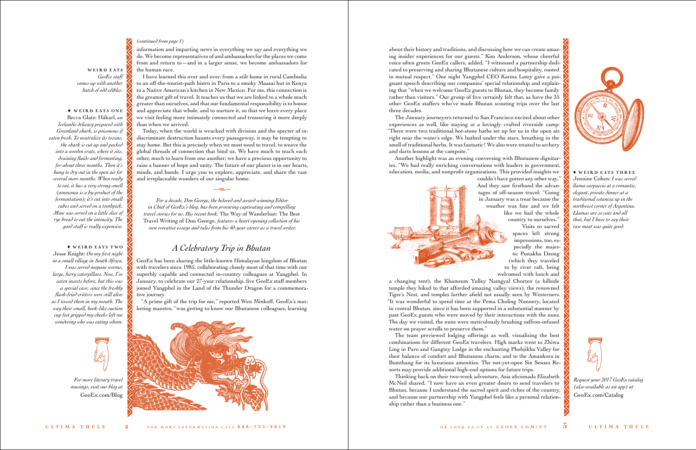about their history and traditions, and discussing how we can create amazing insider experiences for our guests." Kim Anderson, whose cheerful voice often greets GeoEx callers, added, "I witnessed a partnership dedicated to preserving and sharing Bhutanese culture and hospitality, rooted in mutual respect." One night Yangphel CEO Karma Lotey gave a poignant speech describing our companies' special relationship and explaining that "when we welcome GeoEx guests to Bhutan, they become family rather than visitors." Our group of five certainly felt that, as have the 35 other GeoEx staffers who've made Bhutan scouting trips over the last three decades.

The January journeyers returned to San Francisco excited about other experiences as well, like staying at a lovingly crafted riverside camp: "There were two traditional hot-stone baths set up for us in the open air, right near the water's edge. We bathed under the stars, breathing in the smell of traditional herbs. It was fantastic! We also were treated to archery and darts lessons at the campsite."

Another highlight was an evening conversing with Bhutanese dignitaries. "We had really enriching conversations with leaders in government, education, media, and nonprofit organizations. This provided insights we



couldn't have gotten any other way." And they saw firsthand the advantages of off-season travel: "Going in January was a treat because the weather was fine and we felt like we had the whole country to ourselves."



Visits to sacred spaces left strong impressions, too, especially the majestic Punakha Dzong (which they traveled to by river raft, being welcomed with lunch and a changing tent), the Khamsum Yulley Namgyal Chorten (a hillside temple they hiked to that afforded amazing valley views), the renowned Tiger's Nest, and temples farther afield not usually seen by Westerners. "It was wonderful to spend time at the Pema Choling Nunnery, located in central Bhutan, since it has been supported in a substantial manner by past GeoEx guests who were moved by their interactions with the nuns. The day we visited, the nuns were meticulously brushing saffron-infused water on prayer scrolls to preserve them."

The team previewed lodging offerings as well, visualizing the best combinations for different GeoEx travelers. High marks went to Zhiwa Ling in Paro and Gangtey Lodge in the enchanting Phobjikha Valley for their balance of comfort and Bhutanese charm, and to the Amankora in Bumthang for its luxurious amenities. The not-yet-open Six Senses Resorts may provide additional high-end options for future trips.

WEIRD EATS *GeoEx staff comes up with another batch of odd edibles.*

### $\blacklozenge$  WEIRD EATS ONE

Thinking back on their two-week adventure, Asia aficionada Elizabeth McNeil shared, "I now have an even greater desire to send travelers to Bhutan, because I understand the sacred spirit and riches of the country, and because our partnership with Yangphel feels like a personal relationship rather than a business one."

information and imparting news in everything we say and everything we do. We become representatives of and ambassadors for the places we come from and return to—and in a larger sense, we become ambassadors for

 $\triangle$  WEIRD EATS TWO Jesse Knight: *On my first night in a small village in South Africa, I was served mopane worms, large, furry caterpillars. Now, I've eaten insects before, but this was a special case, since the freshly flash-fried critters were still alive as I tossed them in my mouth. The way their small, hook-like suction cup feet gripped my cheeks left me wondering who was eating whom.* 

the human race.

 $\rightarrow$  WEIRD EATS THREE Jennine Cohen: *I was served llama carpaccio at a romantic, elegant, private dinner at a traditional estancia up in the northwest corner of Argentina. Llamas are so cute and all that, but I have to say their raw meat was quite good.*

I have learned this over and over, from a stilt home in rural Cambodia to an off-the-tourist-path bistro in Paris to a smoky Maasai hut in Kenya to a Native American's kitchen in New Mexico. For me, this connection is the greatest gift of travel. It teaches us that we are linked to a whole much greater than ourselves, and that our fundamental responsibility is to honor and appreciate that whole, and to nurture it, so that we leave every place we visit feeling more intimately connected and treasuring it more deeply than when we arrived.

Today, when the world is wracked with division and the specter of indiscriminate destruction haunts every passageway, it may be tempting to stay home. But this is precisely when we most need to travel, to weave the global threads of connection that bind us. We have much to teach each other, much to learn from one another; we have a precious opportunity to raise a banner of hope and unity. The future of our planet is in our hearts, minds, and hands. I urge you to explore, appreciate, and share the vast and irreplaceable wonders of our singular home.

*For a decade, Don George, the beloved and award-winning Editor in Chief of GeoEx's blog, has been procuring captivating and compelling travel stories for us. His recent book,* The Way of Wanderlust: The Best Travel Writing of Don George, *features a heart-opening collection of his own evocative essays and tales from his 40-year career as a travel writer.*

 $-m-$ 

# *A Celebratory Trip in Bhutan*

GeoEx has been sharing the little-known Himalayan kingdom of Bhutan with travelers since 1985, collaborating closely most of that time with our superbly capable and connected in-country colleagues at Yangphel. In January, to celebrate our 27-year relationship, five GeoEx staff members joined Yangphel in the Land of the Thunder Dragon for a commemorative journey.

"A prime gift of the trip for me," reported Wen Minkoff, GeoEx's marketing maestro, "was getting to know our Bhutanese colleagues, learning



Becca Glatz: Hákarl, *an Icelandic delicacy prepared with Greenland shark, is poisonous if eaten fresh. To neutralize its toxins, the shark is cut up and packed into a wooden crate, where it sits, draining fluids and fermenting, for about three months. Then it's hung to dry out in the open air for several more months. When ready to eat, it has a very strong smell (ammonia is a by-product of the fermentation); it's cut into small cubes and served on a toothpick. Mine was served on a little slice of rye bread to cut the intensity. The good stuff is really expensive.*

### *(continued from page 1)*

*Request your 2017 GeoEx catalog (also available as an app) at* [GeoEx.com/Catalog](www.geoex.com/catalog)



*For more literary travel musings, visit our blog at* [GeoEx.com/Blog](www.GeoEx.com/Blog)

•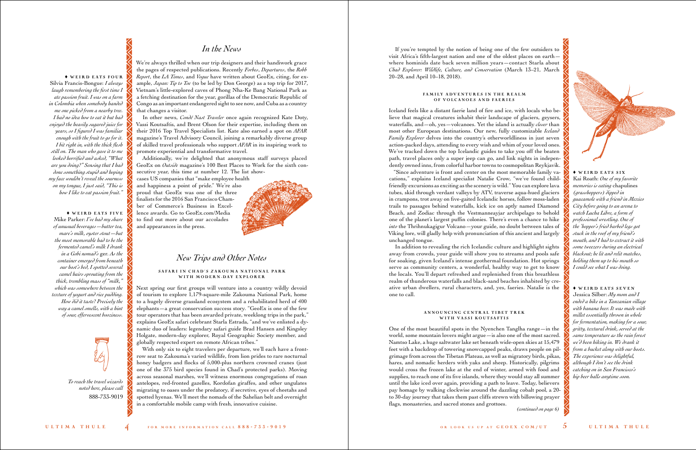## *In the News*

We're always thrilled when our trip designers and their handiwork grace the pages of respected publications. Recently *Forbes*, *Departures*, the *Robb Report*, the *LA Times*, and *Vogue* have written about GeoEx, citing, for example, *Japan: Tip to Toe* (to be led by Don George) as a top trip for 2017, Vietnam's little-explored caves of Phong Nha-Ke Bang National Park as a fetching destination for the year, gorillas of the Democratic Republic of Congo as an important endangered sight to see now, and Cuba as a country that changes a visitor.

In other news, *Condé Nast Traveler* once again recognized Kate Doty, Vassi Koutsaftis, and Brent Olson for their expertise, including them on their 2016 Top Travel Specialists list. Kate also earned a spot on *AFAR* magazine's Travel Advisory Council, joining a remarkably diverse group of skilled travel professionals who support *AFAR* in its inspiring work to promote experiential and transformative travel.

Additionally, we're delighted that anonymous staff surveys placed GeoEx on *Outside* magazine's 100 Best Places to Work for the sixth consecutive year, this time at number 12. The list show-

cases US companies that "make employee health and happiness a point of pride." We're also proud that GeoEx was one of the three finalists for the 2016 San Francisco Chamber of Commerce's Business in Excellence awards. Go to [GeoEx.com/Media](www.GeoEx.com/Media)  to find out more about our accolades and appearances in the press.



With only six to eight travelers per departure, we'll each have a frontrow seat to Zakouma's varied wildlife, from lion prides to rare nocturnal honey badgers and flocks of 5,000-plus northern crowned cranes (just one of the 375 bird species found in Chad's protected parks). Moving across seasonal marshes, we'll witness enormous congregations of roan antelopes, red-fronted gazelles, Kordofan giraffes, and other ungulates migrating to oases under the predatory, if secretive, eyes of cheetahs and spotted hyenas. We'll meet the nomads of the Sahelian belt and overnight in a comfortable mobile camp with fresh, innovative cuisine.

## *New Trips and Other Notes*

### SAFARI IN CHAD'S ZAKOUMA NATIONAL PARK WITH MODERN DAY EXPLORER

### FAMILY ADVENTURES IN THE REALM of Volcanoes and Faeries

Next spring our first groups will venture into a country wildly devoid of tourism to explore 1,179-square-mile Zakouma National Park, home to a hugely diverse grassland ecosystem and a rehabilitated herd of 400 elephants—a great conservation success story. "GeoEx is one of the few tour operators that has been awarded private, weeklong trips in the park," explains GeoEx safari celebrant Starla Estrada, "and we've enlisted a dynamic duo of leaders: legendary safari guide Brad Hansen and Kingsley Holgate, modern-day explorer, Royal Geographic Society member, and globally respected expert on remote African tribes."

### ANNOUNCING CENTRAL TIBET TREK with Vassi Koutsaftis

If you're tempted by the notion of being one of the few outsiders to visit Africa's fifth-largest nation and one of the oldest places on earth where hominids date back seven million years—contact Starla about *Chad Explorer: Wildlife, Culture, and Conservation* (March 13–21, March 20–28, and April 10–18, 2018).

Iceland feels like a distant faerie land of fire and ice, with locals who believe that magical creatures inhabit their landscape of glaciers, geysers, waterfalls, and—oh, yes—volcanoes. Yet the island is actually *closer* than most other European destinations. Our new, fully customizable *Iceland Family Explorer* delves into the country's otherworldliness in just seven action-packed days, attending to every wish and whim of your loved ones. We've tracked down the top Icelandic guides to take you off the beaten path, travel places only a super jeep can go, and link nights in independently owned inns, from colorful harbor towns to cosmopolitan Reykjavik.

 $\blacklozenge$  WEIRD EATS FOUR Silvia Francis-Bongue: *I always laugh remembering the first time I ate passion fruit. I was on a farm in Colombia when somebody handed me one picked from a nearby tree. I had no idea how to eat it but had enjoyed the heavily sugared juice for years, so I figured I was familiar enough with the fruit to go for it. I bit right in, with the thick flesh still on. The man who gave it to me looked horrified and asked, "What are you doing?" Sensing that I had done something stupid and hoping my face wouldn't reveal the sourness on my tongue, I just said, "This is how I like to eat passion fruit."*

 $\blacklozenge$  WEIRD EATS FIVE Mike Parker: *I've had my share of unusual beverages—butter tea, mare's milk, oyster stout—but the most memorable had to be the fermented camel's milk I drank in a Gobi nomad's* ger*. As the container emerged from beneath our host's bed, I spotted several camel hairs sprouting from the thick, trembling mass of "milk," which was somewhere between the texture of yogurt and rice pudding. How did it taste? Precisely the way a camel smells, with a hint of sour, effervescent booziness.*

"Since adventure is front and center on the most memorable family vacations," explains Iceland specialist Natalie Crow, "we've found childfriendly excursions as exciting as the scenery is wild." You can explore lava tubes, skid through verdant valleys by ATV, traverse aqua-hued glaciers in crampons, trot away on five-gaited Icelandic horses, follow moss-laden trails to passages behind waterfalls, kick ice on aptly named Diamond Beach, and Zodiac through the Vestmanneayjar archipelago to behold one of the planet's largest puffin colonies. There's even a chance to hike *into* the Thrihnukagigur Volcano—your guide, no doubt between tales of Viking lore, will gladly help with pronunciation of this ancient and largely unchanged tongue.

In addition to revealing the rich Icelandic culture and highlight sights away from crowds, your guide will show you to streams and pools safe for soaking, given Iceland's intense geothermal foundation. Hot springs serve as community centers, a wonderful, healthy way to get to know the locals. You'll depart refreshed and replenished from this breathless realm of thunderous waterfalls and black-sand beaches inhabited by creative urban dwellers, rural characters, and, yes, faeries. Natalie is the one to call.

One of the most beautiful spots in the Nyenchen Tanglha range—in the world, some mountain lovers might argue—is also one of the most sacred. Namtso Lake, a huge saltwater lake set beneath wide-open skies at 15,479 feet with a backdrop of towering snowcapped peaks, draws people on pilgrimage from across the Tibetan Plateau, as well as migratory birds, pikas, hares, and nomadic herders with yaks and sheep. Historically, pilgrims would cross the frozen lake at the end of winter, armed with food and supplies, to reach one of its five islands, where they would stay all summer until the lake iced over again, providing a path to leave. Today, believers pay homage by walking clockwise around the dazzling cobalt pool, a 20 to 30-day journey that takes them past cliffs strewn with billowing prayer flags, monasteries, and sacred stones and grottoes.

Kai Roath: *One of my favorite memories is eating* chapulines *(grasshoppers) dipped in guacamole with a friend in Mexico City before going to an arena to watch Lucha Libre, a form of professional wrestling. One of the 'hopper's fried barbed legs got stuck in the roof of my friend's mouth, and I had to extract it with some tweezers during an electrical blackout; he lit and relit matches, holding them up to his mouth so I could see what I was doing.*

### $\blacklozenge$  WEIRD EATS SEVEN

Jessica Silber: *My mom and I ended a hike in a Tanzanian village with banana beer. It was made with millet essentially thrown in whole for fermentation, making for a sour, gritty, textural drink, served at the same temperature as the rain forest we'd been hiking in. We drank it from a bucket along with our hosts. The experience was delightful, although I don't see the drink catching on in San Francisco's hip beer halls anytime soon.*

*(continued on page 6)*



 $\triangle$  WEIRD EATS SIX



*To reach the travel wizards noted here, please call* 888-733-9019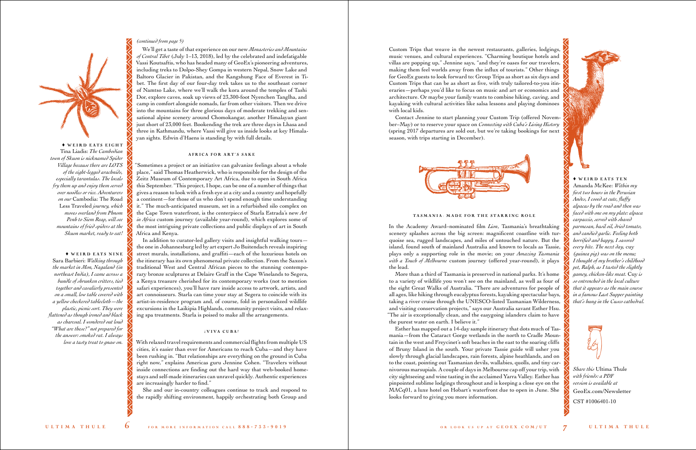*Share this* Ultima Thule *with friends: a PDF version is available at* [GeoEx.com/Newsletter](www.GeoEx.com/Newsletter)

CST #1006401-10

 $\blacklozenge$  WEIRD EATS EIGHT Tina Liadis: *The Cambodian town of Skuon is nicknamed Spider Village because there are LOTS of the eight-legged arachnids, especially tarantulas. The locals fry them up and enjoy them served over noodles or rice. Adventurers on our* Cambodia: The Road Less Traveled *journey, which moves overland from Phnom Penh to Siem Reap, will see mountains of fried spiders at the Skuon market, ready to eat!* 

 $\blacklozenge$  WEIRD EATS NINE Sara Barbieri: *Walking through the market in Mon, Nagaland (in northeast India), I came across a bundle of shrunken critters, tied together and cavalierly presented on a small, low table covered with a yellow checkered tablecloth—the plastic, picnic sort. They were flattened as though ironed and black as charcoal. I wondered out loud "What are these?" not prepared for the answer: smoked rat. I always love a tasty treat to gnaw on.*

Custom Trips that weave in the newest restaurants, galleries, lodgings, music venues, and cultural experiences. "Charming boutique hotels and villas are popping up," Jennine says, "and they're oases for our travelers, making them feel worlds away from the influx of tourists." Other things for GeoEx guests to look forward to: Group Trips as short as six days and Custom Trips that can be as short as five, with truly tailored-to-you itineraries—perhaps you'd like to focus on music and art or economics and architecture. Or maybe your family wants to combine hiking, caving, and kayaking with cultural activities like salsa lessons and playing dominoes with local kids.

Contact Jennine to start planning your Custom Trip (offered November–May) or to reserve your space on *Connecting with Cuba's Living History* (spring 2017 departures are sold out, but we're taking bookings for next season, with trips starting in December).



### TASMANIA: MADE FOR THE STARRING ROLE

In the Academy Award–nominated film *Lion*, Tasmania's breathtaking scenery splashes across the big screen: magnificent coastline with turquoise sea, rugged landscapes, and miles of untouched nature. But the island, found south of mainland Australia and known to locals as Tassie, plays only a supporting role in the movie; on your *Amazing Tasmania with a Touch of Melbourne* custom journey (offered year-round), it plays the lead.

More than a third of Tasmania is preserved in national parks. It's home to a variety of wildlife you won't see on the mainland, as well as four of the eight Great Walks of Australia. "There are adventures for people of all ages, like hiking through eucalyptus forests, kayaking spectacular bays, taking a river cruise through the UNESCO-listed Tasmanian Wilderness, and visiting conservation projects," says our Australia savant Esther Hsu. "The air is exceptionally clean, and the easygoing islanders claim to have the purest water on earth. I believe it."

Esther has mapped out a 14-day sample itinerary that dots much of Tasmania—from the Cataract Gorge wetlands in the north to Cradle Mountain in the west and Freycinet's soft beaches in the east to the soaring cliffs of Bruny Island in the south. Your private Tassie guide will usher you slowly through glacial landscapes, rain forests, alpine heathlands, and on to the coast, pointing out Tasmanian devils, wallabies, quolls, and tiny carnivorous marsupials. A couple of days in Melbourne cap off your trip, with city sightseeing and wine tasting in the acclaimed Yarra Valley. Esther has pinpointed sublime lodgings throughout and is keeping a close eye on the MACq01, a luxe hotel on Hobart's waterfront due to open in June. She looks forward to giving you more information.





Amanda McKee: *Within my first two hours in the Peruvian Andes, I cooed at cute, fluffy alpacas by the road and then was faced with one on my plate: alpaca carpaccio, served with shaved parmesan, basil oil, dried tomato, and candied garlic. Feeling both horrified and happy, I savored every bite. The next day,* cuy *(guinea pig) was on the menu; I thought of my brother's childhood pet, Ralph, as I tasted the slightly gamey, chicken-like meat.* Cuy *is so entrenched in the local culture that it appears as the main course in a famous Last Supper painting that's hung in the Cusco cathedral.*

### *(continued from page 5)*

•

We'll get a taste of that experience on our new *Monasteries and Mountains of Central Tibet* (July 1–13, 2018), led by the celebrated and indefatigable Vassi Koutsaftis, who has headed many of GeoEx's pioneering adventures, including treks to Dolpo-Shey Gompa in western Nepal, Snow Lake and Baltoro Glacier in Pakistan, and the Kangshung Face of Everest in Tibet. The first day of our four-day trek takes us to the southeast corner of Namtso Lake, where we'll walk the kora around the temples of Tashi Dor, explore caves, soak up views of 23,300-foot Nyenchen Tanglha, and camp in comfort alongside nomads, far from other visitors. Then we drive into the mountains for three glorious days of moderate trekking and sensational alpine scenery around Chomokangar, another Himalayan giant just short of 23,000 feet. Bookending the trek are three days in Lhasa and three in Kathmandu, where Vassi will give us inside looks at key Himalayan sights. Edwin d'Haens is standing by with full details.

### AFRICA FOR ART'S SAKE

"Sometimes a project or an initiative can galvanize feelings about a whole place," said Thomas Heatherwick, who is responsible for the design of the Zeitz Museum of Contemporary Art Africa, due to open in South Africa this September. "This project, I hope, can be one of a number of things that gives a reason to look with a fresh eye at a city and a country and hopefully a continent—for those of us who don't spend enough time understanding it." The much-anticipated museum, set in a refurbished silo complex on the Cape Town waterfront, is the centerpiece of Starla Estrada's new *Art in Africa* custom journey (available year-round), which explores some of the most intriguing private collections and public displays of art in South Africa and Kenya.

In addition to curator-led gallery visits and insightful walking tours the one in Johannesburg led by art expert Jo Buitendach reveals inspiring street murals, installations, and graffiti—each of the luxurious hotels on the itinerary has its own phenomenal private collection. From the Saxon's traditional West and Central African pieces to the stunning contemporary bronze sculptures at Delaire Graff in the Cape Winelands to Segera, a Kenya treasure cherished for its contemporary works (not to mention safari experiences), you'll have rare inside access to artwork, artists, and art connoisseurs. Starla can time your stay at Segera to coincide with its artist-in-residence program and, of course, fold in personalized wildlife excursions in the Laikipia Highlands, community project visits, and relaxing spa treatments. Starla is poised to make all the arrangements.

### *i* VI VA CUBA!

With relaxed travel requirements and commercial flights from multiple US cities, it's easier than ever for Americans to reach Cuba—and they have been rushing in. "But relationships are everything on the ground in Cuba right now," explains Americas guru Jennine Cohen. "Travelers without inside connections are finding out the hard way that web-booked homestays and self-made itineraries can unravel quickly. Authentic experiences are increasingly harder to find."

She and our in-country colleagues continue to track and respond to the rapidly shifting environment, happily orchestrating both Group and